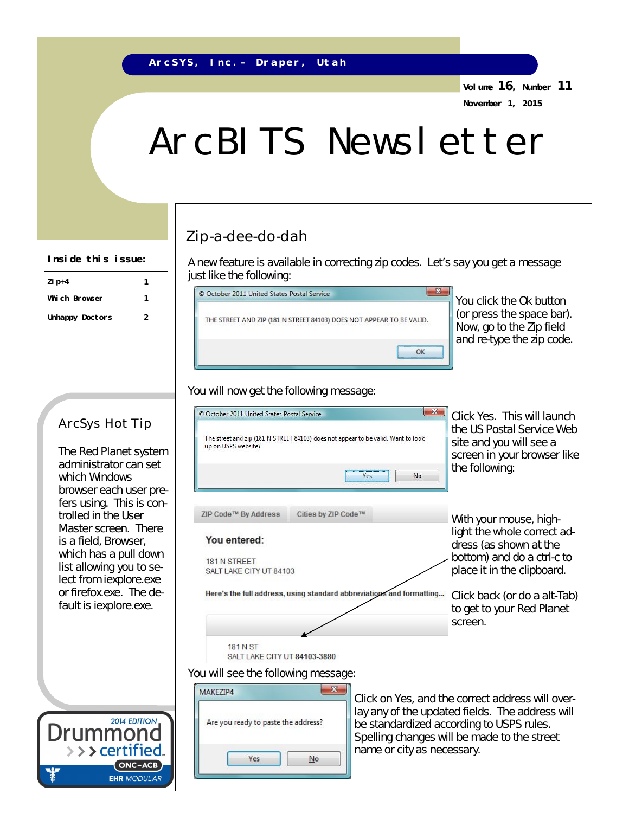**Volume 16, Number 11 November 1, 2015**

# ArcBITS Newsletter

## Zip-a-dee-do-dah

A new feature is available in correcting zip codes. Let's say you get a message just like the following:



You click the Ok button (or press the space bar). Now, go to the Zip field and re-type the zip code.

#### You will now get the following message:



### ArcSys Hot Tip

**Zip+4 1 Which Browser 1 Unhappy Doctors 2**

**Inside this issue:**

The Red Planet system administrator can set which Windows browser each user prefers using. This is controlled in the User Master screen. There is a field, Browser, which has a pull down list allowing you to select from iexplore.exe or firefox.exe. The default is iexplore.exe.